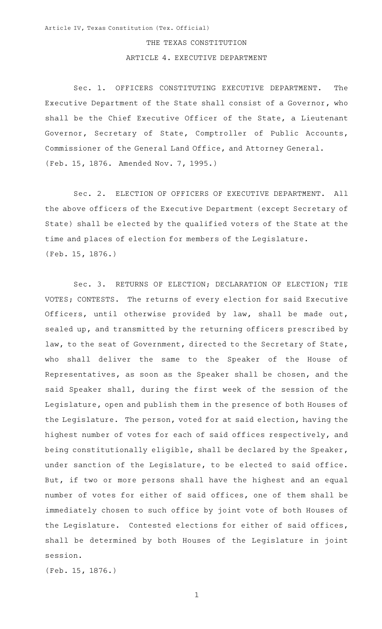## THE TEXAS CONSTITUTION

## ARTICLE 4. EXECUTIVE DEPARTMENT

Sec. 1. OFFICERS CONSTITUTING EXECUTIVE DEPARTMENT. The Executive Department of the State shall consist of a Governor, who shall be the Chief Executive Officer of the State, a Lieutenant Governor, Secretary of State, Comptroller of Public Accounts, Commissioner of the General Land Office, and Attorney General. (Feb. 15, 1876. Amended Nov. 7, 1995.)

Sec. 2. ELECTION OF OFFICERS OF EXECUTIVE DEPARTMENT. All the above officers of the Executive Department (except Secretary of State) shall be elected by the qualified voters of the State at the time and places of election for members of the Legislature. (Feb. 15, 1876.)

Sec. 3. RETURNS OF ELECTION; DECLARATION OF ELECTION; TIE VOTES; CONTESTS. The returns of every election for said Executive Officers, until otherwise provided by law, shall be made out, sealed up, and transmitted by the returning officers prescribed by law, to the seat of Government, directed to the Secretary of State, who shall deliver the same to the Speaker of the House of Representatives, as soon as the Speaker shall be chosen, and the said Speaker shall, during the first week of the session of the Legislature, open and publish them in the presence of both Houses of the Legislature. The person, voted for at said election, having the highest number of votes for each of said offices respectively, and being constitutionally eligible, shall be declared by the Speaker, under sanction of the Legislature, to be elected to said office. But, if two or more persons shall have the highest and an equal number of votes for either of said offices, one of them shall be immediately chosen to such office by joint vote of both Houses of the Legislature. Contested elections for either of said offices, shall be determined by both Houses of the Legislature in joint session.

(Feb. 15, 1876.)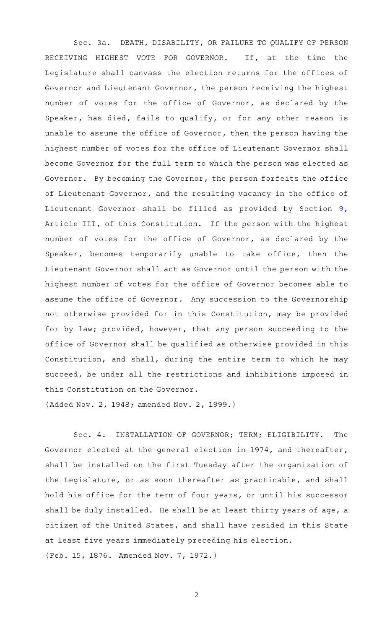Sec. 3a. DEATH, DISABILITY, OR FAILURE TO QUALIFY OF PERSON RECEIVING HIGHEST VOTE FOR GOVERNOR. If, at the time the Legislature shall canvass the election returns for the offices of Governor and Lieutenant Governor, the person receiving the highest number of votes for the office of Governor, as declared by the Speaker, has died, fails to qualify, or for any other reason is unable to assume the office of Governor, then the person having the highest number of votes for the office of Lieutenant Governor shall become Governor for the full term to which the person was elected as Governor. By becoming the Governor, the person forfeits the office of Lieutenant Governor, and the resulting vacancy in the office of Lieutenant Governor shall be filled as provided by Section [9](https://statutes.capitol.texas.gov/GetStatute.aspx?Code=CN&Value=3.9), Article III, of this Constitution. If the person with the highest number of votes for the office of Governor, as declared by the Speaker, becomes temporarily unable to take office, then the Lieutenant Governor shall act as Governor until the person with the highest number of votes for the office of Governor becomes able to assume the office of Governor. Any succession to the Governorship not otherwise provided for in this Constitution, may be provided for by law; provided, however, that any person succeeding to the office of Governor shall be qualified as otherwise provided in this Constitution, and shall, during the entire term to which he may succeed, be under all the restrictions and inhibitions imposed in this Constitution on the Governor.

(Added Nov. 2, 1948; amended Nov. 2, 1999.)

Sec. 4. INSTALLATION OF GOVERNOR; TERM; ELIGIBILITY. The Governor elected at the general election in 1974, and thereafter, shall be installed on the first Tuesday after the organization of the Legislature, or as soon thereafter as practicable, and shall hold his office for the term of four years, or until his successor shall be duly installed. He shall be at least thirty years of age, a citizen of the United States, and shall have resided in this State at least five years immediately preceding his election. (Feb. 15, 1876. Amended Nov. 7, 1972.)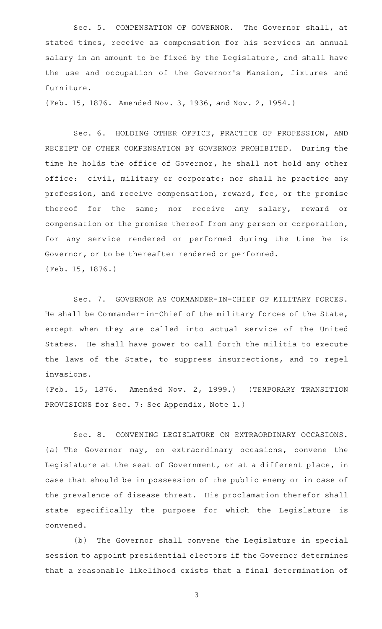Sec. 5. COMPENSATION OF GOVERNOR. The Governor shall, at stated times, receive as compensation for his services an annual salary in an amount to be fixed by the Legislature, and shall have the use and occupation of the Governor 's Mansion, fixtures and furniture.

(Feb. 15, 1876. Amended Nov. 3, 1936, and Nov. 2, 1954.)

Sec. 6. HOLDING OTHER OFFICE, PRACTICE OF PROFESSION, AND RECEIPT OF OTHER COMPENSATION BY GOVERNOR PROHIBITED. During the time he holds the office of Governor, he shall not hold any other office: civil, military or corporate; nor shall he practice any profession, and receive compensation, reward, fee, or the promise thereof for the same; nor receive any salary, reward or compensation or the promise thereof from any person or corporation, for any service rendered or performed during the time he is Governor, or to be thereafter rendered or performed. (Feb. 15, 1876.)

Sec. 7. GOVERNOR AS COMMANDER-IN-CHIEF OF MILITARY FORCES. He shall be Commander-in-Chief of the military forces of the State, except when they are called into actual service of the United States. He shall have power to call forth the militia to execute the laws of the State, to suppress insurrections, and to repel invasions.

(Feb. 15, 1876. Amended Nov. 2, 1999.) (TEMPORARY TRANSITION PROVISIONS for Sec. 7: See Appendix, Note 1.)

Sec. 8. CONVENING LEGISLATURE ON EXTRAORDINARY OCCASIONS. (a) The Governor may, on extraordinary occasions, convene the Legislature at the seat of Government, or at a different place, in case that should be in possession of the public enemy or in case of the prevalence of disease threat. His proclamation therefor shall state specifically the purpose for which the Legislature is convened.

(b) The Governor shall convene the Legislature in special session to appoint presidential electors if the Governor determines that a reasonable likelihood exists that a final determination of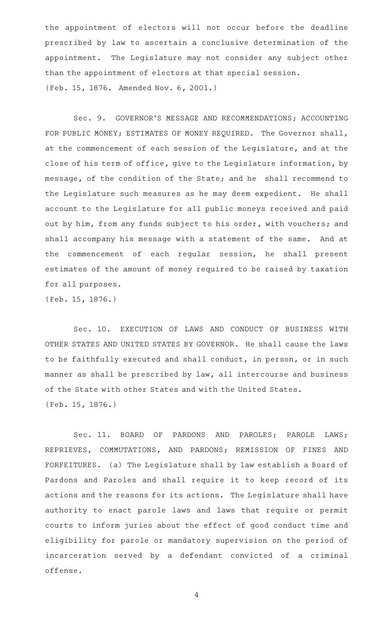the appointment of electors will not occur before the deadline prescribed by law to ascertain a conclusive determination of the appointment. The Legislature may not consider any subject other than the appointment of electors at that special session. (Feb. 15, 1876. Amended Nov. 6, 2001.)

Sec. 9. GOVERNOR'S MESSAGE AND RECOMMENDATIONS; ACCOUNTING FOR PUBLIC MONEY; ESTIMATES OF MONEY REQUIRED. The Governor shall, at the commencement of each session of the Legislature, and at the close of his term of office, give to the Legislature information, by message, of the condition of the State; and he shall recommend to the Legislature such measures as he may deem expedient. He shall account to the Legislature for all public moneys received and paid out by him, from any funds subject to his order, with vouchers; and shall accompany his message with a statement of the same. And at the commencement of each regular session, he shall present estimates of the amount of money required to be raised by taxation for all purposes.

(Feb. 15, 1876.)

Sec. 10. EXECUTION OF LAWS AND CONDUCT OF BUSINESS WITH OTHER STATES AND UNITED STATES BY GOVERNOR. He shall cause the laws to be faithfully executed and shall conduct, in person, or in such manner as shall be prescribed by law, all intercourse and business of the State with other States and with the United States. (Feb. 15, 1876.)

Sec. 11. BOARD OF PARDONS AND PAROLES; PAROLE LAWS; REPRIEVES, COMMUTATIONS, AND PARDONS; REMISSION OF FINES AND FORFEITURES. (a) The Legislature shall by law establish a Board of Pardons and Paroles and shall require it to keep record of its actions and the reasons for its actions. The Legislature shall have authority to enact parole laws and laws that require or permit courts to inform juries about the effect of good conduct time and eligibility for parole or mandatory supervision on the period of incarceration served by a defendant convicted of a criminal offense.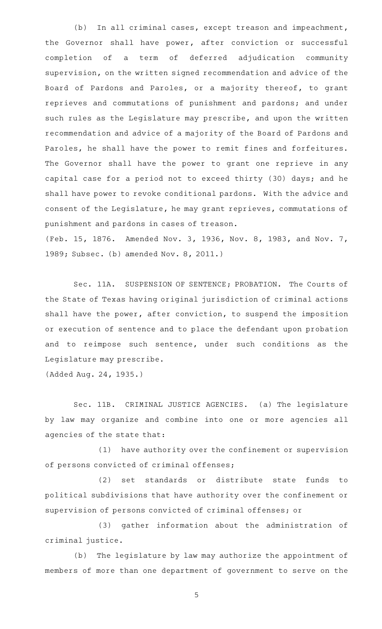(b) In all criminal cases, except treason and impeachment, the Governor shall have power, after conviction or successful completion of a term of deferred adjudication community supervision, on the written signed recommendation and advice of the Board of Pardons and Paroles, or a majority thereof, to grant reprieves and commutations of punishment and pardons; and under such rules as the Legislature may prescribe, and upon the written recommendation and advice of a majority of the Board of Pardons and Paroles, he shall have the power to remit fines and forfeitures. The Governor shall have the power to grant one reprieve in any capital case for a period not to exceed thirty (30) days; and he shall have power to revoke conditional pardons. With the advice and consent of the Legislature, he may grant reprieves, commutations of punishment and pardons in cases of treason.

(Feb. 15, 1876. Amended Nov. 3, 1936, Nov. 8, 1983, and Nov. 7, 1989; Subsec. (b) amended Nov. 8, 2011.)

Sec. 11A. SUSPENSION OF SENTENCE; PROBATION. The Courts of the State of Texas having original jurisdiction of criminal actions shall have the power, after conviction, to suspend the imposition or execution of sentence and to place the defendant upon probation and to reimpose such sentence, under such conditions as the Legislature may prescribe.

(Added Aug. 24, 1935.)

Sec. 11B. CRIMINAL JUSTICE AGENCIES. (a) The legislature by law may organize and combine into one or more agencies all agencies of the state that:

(1) have authority over the confinement or supervision of persons convicted of criminal offenses;

(2) set standards or distribute state funds to political subdivisions that have authority over the confinement or supervision of persons convicted of criminal offenses; or

(3) gather information about the administration of criminal justice.

(b) The legislature by law may authorize the appointment of members of more than one department of government to serve on the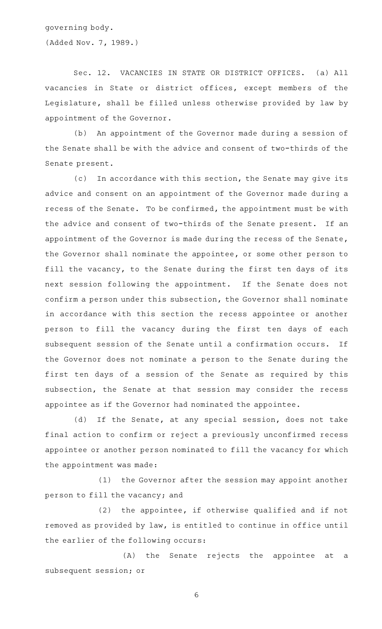Sec. 12. VACANCIES IN STATE OR DISTRICT OFFICES. (a) All vacancies in State or district offices, except members of the Legislature, shall be filled unless otherwise provided by law by appointment of the Governor.

(b) An appointment of the Governor made during a session of the Senate shall be with the advice and consent of two-thirds of the Senate present.

(c) In accordance with this section, the Senate may give its advice and consent on an appointment of the Governor made during a recess of the Senate. To be confirmed, the appointment must be with the advice and consent of two-thirds of the Senate present. If an appointment of the Governor is made during the recess of the Senate, the Governor shall nominate the appointee, or some other person to fill the vacancy, to the Senate during the first ten days of its next session following the appointment. If the Senate does not confirm a person under this subsection, the Governor shall nominate in accordance with this section the recess appointee or another person to fill the vacancy during the first ten days of each subsequent session of the Senate until a confirmation occurs. If the Governor does not nominate a person to the Senate during the first ten days of a session of the Senate as required by this subsection, the Senate at that session may consider the recess appointee as if the Governor had nominated the appointee.

(d) If the Senate, at any special session, does not take final action to confirm or reject a previously unconfirmed recess appointee or another person nominated to fill the vacancy for which the appointment was made:

(1) the Governor after the session may appoint another person to fill the vacancy; and

 $(2)$  the appointee, if otherwise qualified and if not removed as provided by law, is entitled to continue in office until the earlier of the following occurs:

(A) the Senate rejects the appointee at a subsequent session; or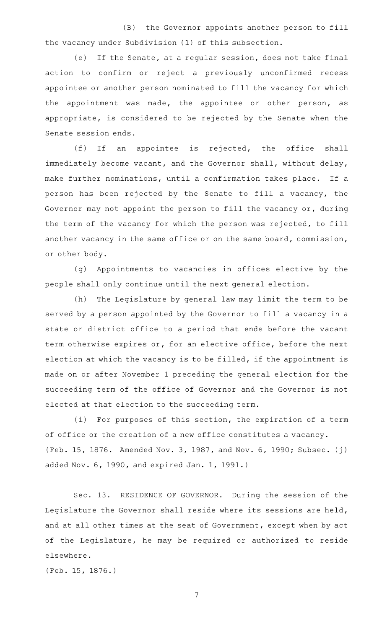(B) the Governor appoints another person to fill the vacancy under Subdivision (1) of this subsection.

(e) If the Senate, at a regular session, does not take final action to confirm or reject a previously unconfirmed recess appointee or another person nominated to fill the vacancy for which the appointment was made, the appointee or other person, as appropriate, is considered to be rejected by the Senate when the Senate session ends.

(f) If an appointee is rejected, the office shall immediately become vacant, and the Governor shall, without delay, make further nominations, until a confirmation takes place. If a person has been rejected by the Senate to fill a vacancy, the Governor may not appoint the person to fill the vacancy or, during the term of the vacancy for which the person was rejected, to fill another vacancy in the same office or on the same board, commission, or other body.

(g) Appointments to vacancies in offices elective by the people shall only continue until the next general election.

(h) The Legislature by general law may limit the term to be served by a person appointed by the Governor to fill a vacancy in a state or district office to a period that ends before the vacant term otherwise expires or, for an elective office, before the next election at which the vacancy is to be filled, if the appointment is made on or after November 1 preceding the general election for the succeeding term of the office of Governor and the Governor is not elected at that election to the succeeding term.

(i) For purposes of this section, the expiration of a term of office or the creation of a new office constitutes a vacancy. (Feb. 15, 1876. Amended Nov. 3, 1987, and Nov. 6, 1990; Subsec. (j) added Nov. 6, 1990, and expired Jan. 1, 1991.)

Sec. 13. RESIDENCE OF GOVERNOR. During the session of the Legislature the Governor shall reside where its sessions are held, and at all other times at the seat of Government, except when by act of the Legislature, he may be required or authorized to reside elsewhere.

(Feb. 15, 1876.)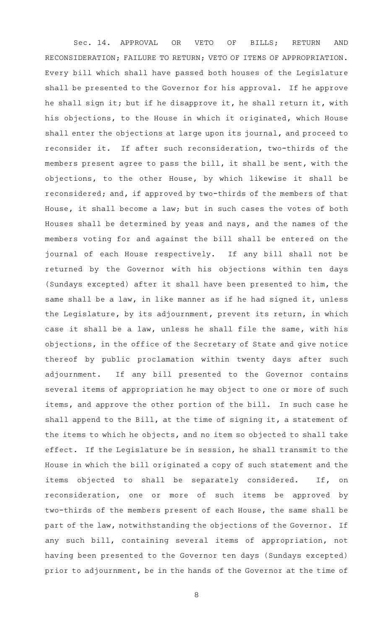Sec. 14. APPROVAL OR VETO OF BILLS; RETURN AND RECONSIDERATION; FAILURE TO RETURN; VETO OF ITEMS OF APPROPRIATION. Every bill which shall have passed both houses of the Legislature shall be presented to the Governor for his approval. If he approve he shall sign it; but if he disapprove it, he shall return it, with his objections, to the House in which it originated, which House shall enter the objections at large upon its journal, and proceed to reconsider it. If after such reconsideration, two-thirds of the members present agree to pass the bill, it shall be sent, with the objections, to the other House, by which likewise it shall be reconsidered; and, if approved by two-thirds of the members of that House, it shall become a law; but in such cases the votes of both Houses shall be determined by yeas and nays, and the names of the members voting for and against the bill shall be entered on the journal of each House respectively. If any bill shall not be returned by the Governor with his objections within ten days (Sundays excepted) after it shall have been presented to him, the same shall be a law, in like manner as if he had signed it, unless the Legislature, by its adjournment, prevent its return, in which case it shall be a law, unless he shall file the same, with his objections, in the office of the Secretary of State and give notice thereof by public proclamation within twenty days after such adjournment. If any bill presented to the Governor contains several items of appropriation he may object to one or more of such items, and approve the other portion of the bill. In such case he shall append to the Bill, at the time of signing it, a statement of the items to which he objects, and no item so objected to shall take effect. If the Legislature be in session, he shall transmit to the House in which the bill originated a copy of such statement and the items objected to shall be separately considered. If, on reconsideration, one or more of such items be approved by two-thirds of the members present of each House, the same shall be part of the law, notwithstanding the objections of the Governor. If any such bill, containing several items of appropriation, not having been presented to the Governor ten days (Sundays excepted) prior to adjournment, be in the hands of the Governor at the time of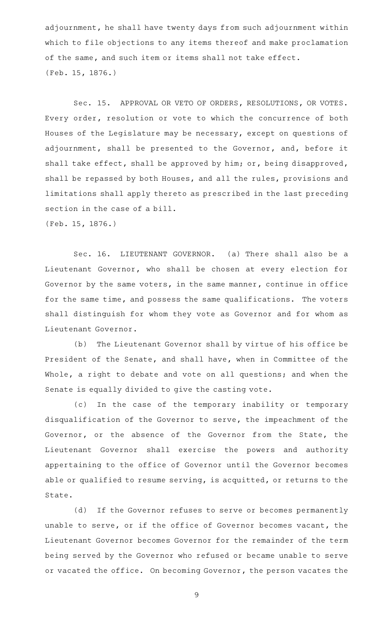adjournment, he shall have twenty days from such adjournment within which to file objections to any items thereof and make proclamation of the same, and such item or items shall not take effect. (Feb. 15, 1876.)

Sec. 15. APPROVAL OR VETO OF ORDERS, RESOLUTIONS, OR VOTES. Every order, resolution or vote to which the concurrence of both Houses of the Legislature may be necessary, except on questions of adjournment, shall be presented to the Governor, and, before it shall take effect, shall be approved by him; or, being disapproved, shall be repassed by both Houses, and all the rules, provisions and limitations shall apply thereto as prescribed in the last preceding section in the case of a bill.

(Feb. 15, 1876.)

Sec. 16. LIEUTENANT GOVERNOR. (a) There shall also be a Lieutenant Governor, who shall be chosen at every election for Governor by the same voters, in the same manner, continue in office for the same time, and possess the same qualifications. The voters shall distinguish for whom they vote as Governor and for whom as Lieutenant Governor.

(b) The Lieutenant Governor shall by virtue of his office be President of the Senate, and shall have, when in Committee of the Whole, a right to debate and vote on all questions; and when the Senate is equally divided to give the casting vote.

(c) In the case of the temporary inability or temporary disqualification of the Governor to serve, the impeachment of the Governor, or the absence of the Governor from the State, the Lieutenant Governor shall exercise the powers and authority appertaining to the office of Governor until the Governor becomes able or qualified to resume serving, is acquitted, or returns to the State.

(d) If the Governor refuses to serve or becomes permanently unable to serve, or if the office of Governor becomes vacant, the Lieutenant Governor becomes Governor for the remainder of the term being served by the Governor who refused or became unable to serve or vacated the office. On becoming Governor, the person vacates the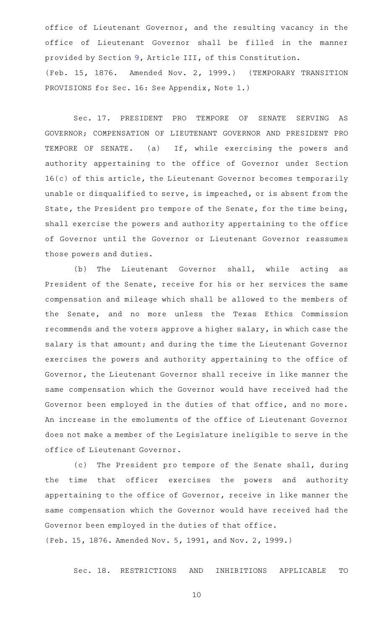office of Lieutenant Governor, and the resulting vacancy in the office of Lieutenant Governor shall be filled in the manner provided by Section [9,](https://statutes.capitol.texas.gov/GetStatute.aspx?Code=CN&Value=3.9) Article III, of this Constitution. (Feb. 15, 1876. Amended Nov. 2, 1999.) (TEMPORARY TRANSITION PROVISIONS for Sec. 16: See Appendix, Note 1.)

Sec. 17. PRESIDENT PRO TEMPORE OF SENATE SERVING AS GOVERNOR; COMPENSATION OF LIEUTENANT GOVERNOR AND PRESIDENT PRO TEMPORE OF SENATE. (a) If, while exercising the powers and authority appertaining to the office of Governor under Section 16(c) of this article, the Lieutenant Governor becomes temporarily unable or disqualified to serve, is impeached, or is absent from the State, the President pro tempore of the Senate, for the time being, shall exercise the powers and authority appertaining to the office of Governor until the Governor or Lieutenant Governor reassumes those powers and duties.

(b) The Lieutenant Governor shall, while acting as President of the Senate, receive for his or her services the same compensation and mileage which shall be allowed to the members of the Senate, and no more unless the Texas Ethics Commission recommends and the voters approve a higher salary, in which case the salary is that amount; and during the time the Lieutenant Governor exercises the powers and authority appertaining to the office of Governor, the Lieutenant Governor shall receive in like manner the same compensation which the Governor would have received had the Governor been employed in the duties of that office, and no more. An increase in the emoluments of the office of Lieutenant Governor does not make a member of the Legislature ineligible to serve in the office of Lieutenant Governor.

(c) The President pro tempore of the Senate shall, during the time that officer exercises the powers and authority appertaining to the office of Governor, receive in like manner the same compensation which the Governor would have received had the Governor been employed in the duties of that office. (Feb. 15, 1876. Amended Nov. 5, 1991, and Nov. 2, 1999.)

Sec. 18. RESTRICTIONS AND INHIBITIONS APPLICABLE TO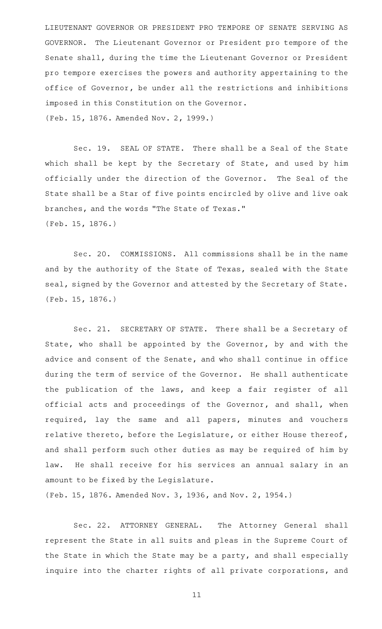LIEUTENANT GOVERNOR OR PRESIDENT PRO TEMPORE OF SENATE SERVING AS GOVERNOR. The Lieutenant Governor or President pro tempore of the Senate shall, during the time the Lieutenant Governor or President pro tempore exercises the powers and authority appertaining to the office of Governor, be under all the restrictions and inhibitions imposed in this Constitution on the Governor. (Feb. 15, 1876. Amended Nov. 2, 1999.)

Sec. 19. SEAL OF STATE. There shall be a Seal of the State which shall be kept by the Secretary of State, and used by him officially under the direction of the Governor. The Seal of the State shall be a Star of five points encircled by olive and live oak branches, and the words "The State of Texas." (Feb. 15, 1876.)

Sec. 20. COMMISSIONS. All commissions shall be in the name and by the authority of the State of Texas, sealed with the State seal, signed by the Governor and attested by the Secretary of State. (Feb. 15, 1876.)

Sec. 21. SECRETARY OF STATE. There shall be a Secretary of State, who shall be appointed by the Governor, by and with the advice and consent of the Senate, and who shall continue in office during the term of service of the Governor. He shall authenticate the publication of the laws, and keep a fair register of all official acts and proceedings of the Governor, and shall, when required, lay the same and all papers, minutes and vouchers relative thereto, before the Legislature, or either House thereof, and shall perform such other duties as may be required of him by law. He shall receive for his services an annual salary in an amount to be fixed by the Legislature.

(Feb. 15, 1876. Amended Nov. 3, 1936, and Nov. 2, 1954.)

Sec. 22. ATTORNEY GENERAL. The Attorney General shall represent the State in all suits and pleas in the Supreme Court of the State in which the State may be a party, and shall especially inquire into the charter rights of all private corporations, and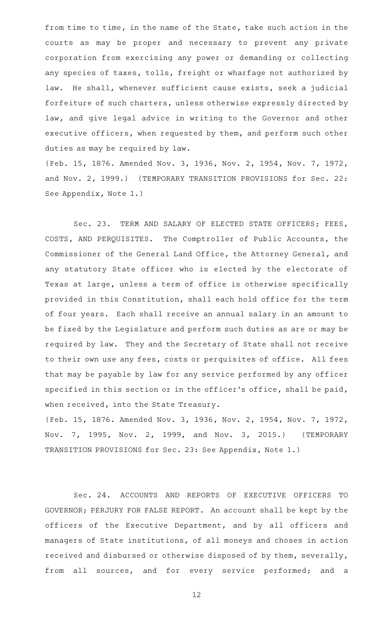from time to time, in the name of the State, take such action in the courts as may be proper and necessary to prevent any private corporation from exercising any power or demanding or collecting any species of taxes, tolls, freight or wharfage not authorized by law. He shall, whenever sufficient cause exists, seek a judicial forfeiture of such charters, unless otherwise expressly directed by law, and give legal advice in writing to the Governor and other executive officers, when requested by them, and perform such other duties as may be required by law.

(Feb. 15, 1876. Amended Nov. 3, 1936, Nov. 2, 1954, Nov. 7, 1972, and Nov. 2, 1999.) (TEMPORARY TRANSITION PROVISIONS for Sec. 22: See Appendix, Note 1.)

Sec. 23. TERM AND SALARY OF ELECTED STATE OFFICERS; FEES, COSTS, AND PERQUISITES. The Comptroller of Public Accounts, the Commissioner of the General Land Office, the Attorney General, and any statutory State officer who is elected by the electorate of Texas at large, unless a term of office is otherwise specifically provided in this Constitution, shall each hold office for the term of four years. Each shall receive an annual salary in an amount to be fixed by the Legislature and perform such duties as are or may be required by law. They and the Secretary of State shall not receive to their own use any fees, costs or perquisites of office. All fees that may be payable by law for any service performed by any officer specified in this section or in the officer 's office, shall be paid, when received, into the State Treasury.

(Feb. 15, 1876. Amended Nov. 3, 1936, Nov. 2, 1954, Nov. 7, 1972, Nov. 7, 1995, Nov. 2, 1999, and Nov. 3, 2015.) (TEMPORARY TRANSITION PROVISIONS for Sec. 23: See Appendix, Note 1.)

Sec. 24. ACCOUNTS AND REPORTS OF EXECUTIVE OFFICERS TO GOVERNOR; PERJURY FOR FALSE REPORT. An account shall be kept by the officers of the Executive Department, and by all officers and managers of State institutions, of all moneys and choses in action received and disbursed or otherwise disposed of by them, severally, from all sources, and for every service performed; and a